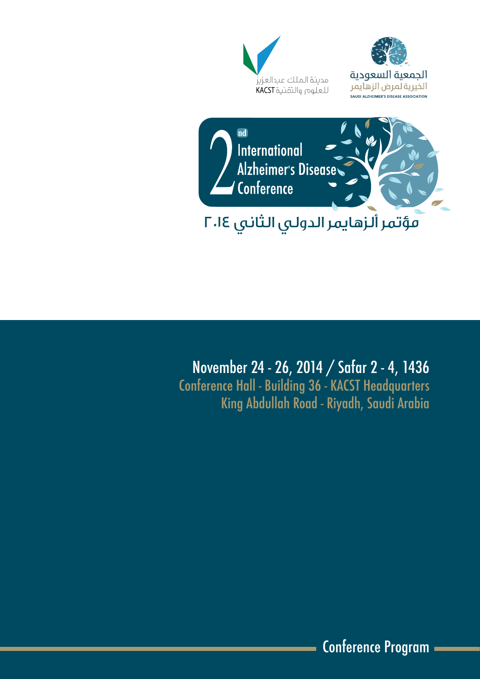





مؤتمر ألزهايمر الدولي الثاني 2014

November 24 - 26, 2014 / Safar 2 - 4, 1436 Conference Hall - Building 36 - KACST Headquarters King Abdullah Road - Riyadh, Saudi Arabia

Conference Program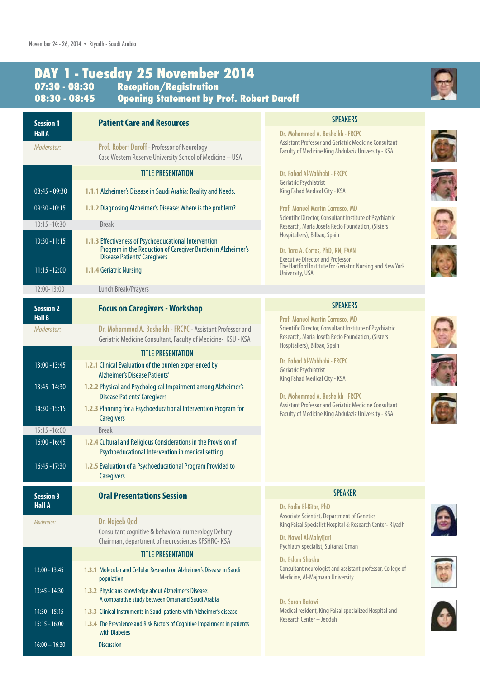## **2014 November 25 Tuesday - 1 DAY Registration/Reception 08:30 - 07:30 08:30 - 08:45 - Dpening Statement by Prof. Robert Daroff**



| <b>Session 1</b>                   | <b>Patient Care and Resources</b>                                                                                                                           | <b>SPEAKERS</b>                                                                                                                                                                                                                                                                                                                                                                                                                              |  |
|------------------------------------|-------------------------------------------------------------------------------------------------------------------------------------------------------------|----------------------------------------------------------------------------------------------------------------------------------------------------------------------------------------------------------------------------------------------------------------------------------------------------------------------------------------------------------------------------------------------------------------------------------------------|--|
| <b>Hall A</b>                      |                                                                                                                                                             | Dr. Mohammed A. Basheikh - FRCPC<br>Assistant Professor and Geriatric Medicine Consultant                                                                                                                                                                                                                                                                                                                                                    |  |
| Moderator:                         | Prof. Robert Daroff - Professor of Neurology<br>Case Western Reserve University School of Medicine - USA                                                    | Faculty of Medicine King Abdulaziz University - KSA                                                                                                                                                                                                                                                                                                                                                                                          |  |
|                                    | <b>TITLE PRESENTATION</b>                                                                                                                                   | Dr. Fahad Al-Wahhabi - FRCPC<br>Geriatric Psychiatrist<br>King Fahad Medical City - KSA<br>Prof. Manuel Martin Carrasco, MD<br>Scientific Director, Consultant Institute of Psychiatric<br>Research, Maria Josefa Recio Foundation, (Sisters<br>Hospitallers), Bilbao, Spain<br>Dr. Tara A. Cortes, PhD, RN, FAAN<br><b>Executive Director and Professor</b><br>The Hartford Institute for Geriatric Nursing and New York<br>University, USA |  |
| $08:45 - 09:30$                    | 1.1.1 Alzheimer's Disease in Saudi Arabia: Reality and Needs.                                                                                               |                                                                                                                                                                                                                                                                                                                                                                                                                                              |  |
| $09:30 - 10:15$                    | 1.1.2 Diagnosing Alzheimer's Disease: Where is the problem?                                                                                                 |                                                                                                                                                                                                                                                                                                                                                                                                                                              |  |
| $10:15 - 10:30$                    | <b>Break</b>                                                                                                                                                |                                                                                                                                                                                                                                                                                                                                                                                                                                              |  |
| $10:30 - 11:15$                    | 1.1.3 Effectiveness of Psychoeducational Intervention<br>Program in the Reduction of Caregiver Burden in Alzheimer's<br><b>Disease Patients' Caregivers</b> |                                                                                                                                                                                                                                                                                                                                                                                                                                              |  |
| $11:15 - 12:00$                    | 1.1.4 Geriatric Nursing                                                                                                                                     |                                                                                                                                                                                                                                                                                                                                                                                                                                              |  |
| 12:00-13:00                        | Lunch Break/Prayers                                                                                                                                         |                                                                                                                                                                                                                                                                                                                                                                                                                                              |  |
| <b>Session 2</b>                   | <b>Focus on Caregivers - Workshop</b>                                                                                                                       | <b>SPEAKERS</b>                                                                                                                                                                                                                                                                                                                                                                                                                              |  |
| <b>Hall B</b><br>Moderator:        | Dr. Mohammed A. Basheikh - FRCPC - Assistant Professor and<br>Geriatric Medicine Consultant, Faculty of Medicine- KSU - KSA                                 | Prof. Manuel Martin Carrasco, MD<br>Scientific Director, Consultant Institute of Psychiatric<br>Research, Maria Josefa Recio Foundation, (Sisters                                                                                                                                                                                                                                                                                            |  |
|                                    | <b>TITLE PRESENTATION</b>                                                                                                                                   | Hospitallers), Bilbao, Spain                                                                                                                                                                                                                                                                                                                                                                                                                 |  |
| 13:00 - 13:45                      | 1.2.1 Clinical Evaluation of the burden experienced by<br>Alzheimer's Disease Patients'                                                                     | Dr. Fahad Al-Wahhabi - FRCPC<br><b>Geriatric Psychiatrist</b><br>King Fahad Medical City - KSA<br>Dr. Mohammed A. Basheikh - FRCPC<br>Assistant Professor and Geriatric Medicine Consultant<br>Faculty of Medicine King Abdulaziz University - KSA                                                                                                                                                                                           |  |
| 13:45 - 14:30                      | 1.2.2 Physical and Psychological Impairment among Alzheimer's<br><b>Disease Patients' Caregivers</b>                                                        |                                                                                                                                                                                                                                                                                                                                                                                                                                              |  |
| 14:30 - 15:15                      | 1.2.3 Planning for a Psychoeducational Intervention Program for<br><b>Caregivers</b>                                                                        |                                                                                                                                                                                                                                                                                                                                                                                                                                              |  |
| $15:15 - 16:00$<br>$16:00 - 16:45$ | <b>Break</b><br>1.2.4 Cultural and Religious Considerations in the Provision of                                                                             |                                                                                                                                                                                                                                                                                                                                                                                                                                              |  |
|                                    | Psychoeducational Intervention in medical setting                                                                                                           |                                                                                                                                                                                                                                                                                                                                                                                                                                              |  |
| 16:45 - 17:30                      | 1.2.5 Evaluation of a Psychoeducational Program Provided to<br><b>Caregivers</b>                                                                            |                                                                                                                                                                                                                                                                                                                                                                                                                                              |  |
| <b>Session 3</b>                   | <b>Oral Presentations Session</b>                                                                                                                           | <b>SPEAKER</b>                                                                                                                                                                                                                                                                                                                                                                                                                               |  |
| <b>Hall A</b>                      |                                                                                                                                                             | Dr. Fadia El-Bitar, PhD<br>Associate Scientist, Department of Genetics                                                                                                                                                                                                                                                                                                                                                                       |  |
| Moderator:                         | Dr. Najeeb Qadi<br>Consultant cognitive & behavioral numerology Debuty                                                                                      | King Faisal Specialist Hospital & Research Center-Riyadh                                                                                                                                                                                                                                                                                                                                                                                     |  |
|                                    | Chairman, department of neurosciences KFSHRC-KSA                                                                                                            | Dr. Nawal Al-Mahyijari<br>Pychiatry specialist, Sultanat Oman                                                                                                                                                                                                                                                                                                                                                                                |  |
|                                    | <b>TITLE PRESENTATION</b>                                                                                                                                   | Dr. Eslam Shosha                                                                                                                                                                                                                                                                                                                                                                                                                             |  |
| $13:00 - 13:45$                    | 1.3.1 Molecular and Cellular Research on Alzheimer's Disease in Saudi<br>population                                                                         | Consultant neurologist and assistant professor, College of<br>Medicine, Al-Majmaah University                                                                                                                                                                                                                                                                                                                                                |  |
| $13:45 - 14:30$                    | 1.3.2 Physicians knowledge about Alzheimer's Disease:<br>A comparative study between Oman and Saudi Arabia                                                  | Dr. Sarah Batawi                                                                                                                                                                                                                                                                                                                                                                                                                             |  |
| $14:30 - 15:15$                    | 1.3.3 Clinical Instruments in Saudi patients with Alzheimer's disease                                                                                       | Medical resident, King Faisal specialized Hospital and<br>Research Center - Jeddah                                                                                                                                                                                                                                                                                                                                                           |  |
| $15:15 - 16:00$                    | 1.3.4 The Prevalence and Risk Factors of Cognitive Impairment in patients<br>with Diabetes                                                                  |                                                                                                                                                                                                                                                                                                                                                                                                                                              |  |
| $16:00 - 16:30$                    | <b>Discussion</b>                                                                                                                                           |                                                                                                                                                                                                                                                                                                                                                                                                                                              |  |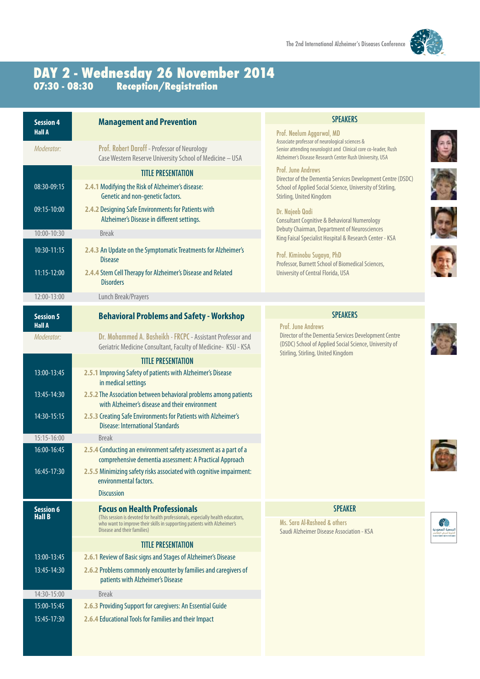

## **2014 November 26 Wednesday - 2 DAY Registration/Reception 08:30 - 07:30**

| <b>Session 4</b> | <b>Management and Prevention</b>                                                                                                                                                           | <b>SPEAKERS</b>                                                                                                                                      |                                                   |
|------------------|--------------------------------------------------------------------------------------------------------------------------------------------------------------------------------------------|------------------------------------------------------------------------------------------------------------------------------------------------------|---------------------------------------------------|
| <b>Hall A</b>    |                                                                                                                                                                                            | Prof. Neelum Aggarwal, MD<br>Associate professor of neurological sciences &                                                                          |                                                   |
| Moderator:       | Prof. Robert Daroff - Professor of Neurology<br>Case Western Reserve University School of Medicine - USA                                                                                   | Senior attending neurologist and Clinical core co-leader, Rush<br>Alzheimer's Disease Research Center Rush University, USA                           |                                                   |
|                  | <b>TITLE PRESENTATION</b>                                                                                                                                                                  | <b>Prof. June Andrews</b><br>Director of the Dementia Services Development Centre (DSDC)                                                             |                                                   |
| 08:30-09:15      | 2.4.1 Modifying the Risk of Alzheimer's disease:<br>Genetic and non-genetic factors.                                                                                                       | School of Applied Social Science, University of Stirling,<br>Stirling, United Kingdom                                                                |                                                   |
| 09:15-10:00      | 2.4.2 Designing Safe Environments for Patients with<br>Alzheimer's Disease in different settings.                                                                                          | Dr. Najeeb Qadi<br><b>Consultant Cognitive &amp; Behavioral Numerology</b>                                                                           |                                                   |
| 10:00-10:30      | <b>Break</b>                                                                                                                                                                               | <b>Debuty Chairman, Department of Neurosciences</b><br>King Faisal Specialist Hospital & Research Center - KSA                                       |                                                   |
| 10:30-11:15      | 2.4.3 An Update on the Symptomatic Treatments for Alzheimer's<br><b>Disease</b>                                                                                                            | Prof. Kiminobu Sugaya, PhD<br>Professor, Burnett School of Biomedical Sciences,<br>University of Central Florida, USA                                |                                                   |
| 11:15-12:00      | 2.4.4 Stem Cell Therapy for Alzheimer's Disease and Related<br><b>Disorders</b>                                                                                                            |                                                                                                                                                      |                                                   |
| 12:00-13:00      | Lunch Break/Prayers                                                                                                                                                                        |                                                                                                                                                      |                                                   |
| <b>Session 5</b> | <b>Behavioral Problems and Safety - Workshop</b>                                                                                                                                           | <b>SPEAKERS</b>                                                                                                                                      |                                                   |
| <b>Hall A</b>    |                                                                                                                                                                                            | <b>Prof. June Andrews</b>                                                                                                                            |                                                   |
| Moderator:       | Dr. Mohammed A. Basheikh - FRCPC - Assistant Professor and<br>Geriatric Medicine Consultant, Faculty of Medicine- KSU - KSA                                                                | Director of the Dementia Services Development Centre<br>(DSDC) School of Applied Social Science, University of<br>Stirling, Stirling, United Kingdom |                                                   |
|                  | <b>TITLE PRESENTATION</b>                                                                                                                                                                  |                                                                                                                                                      |                                                   |
| 13:00-13:45      | 2.5.1 Improving Safety of patients with Alzheimer's Disease<br>in medical settings                                                                                                         |                                                                                                                                                      |                                                   |
| 13:45-14:30      | 2.5.2 The Association between behavioral problems among patients<br>with Alzheimer's disease and their environment                                                                         |                                                                                                                                                      |                                                   |
| 14:30-15:15      | 2.5.3 Creating Safe Environments for Patients with Alzheimer's<br><b>Disease: International Standards</b>                                                                                  |                                                                                                                                                      |                                                   |
| 15:15-16:00      | <b>Break</b>                                                                                                                                                                               |                                                                                                                                                      |                                                   |
| 16:00-16:45      | 2.5.4 Conducting an environment safety assessment as a part of a<br>comprehensive dementia assessment: A Practical Approach                                                                |                                                                                                                                                      |                                                   |
| 16:45-17:30      | 2.5.5 Minimizing safety risks associated with cognitive impairment:<br>environmental factors.                                                                                              |                                                                                                                                                      |                                                   |
|                  | <b>Discussion</b>                                                                                                                                                                          |                                                                                                                                                      |                                                   |
| <b>Session 6</b> | <b>Focus on Health Professionals</b>                                                                                                                                                       | <b>SPEAKER</b>                                                                                                                                       |                                                   |
| <b>Hall B</b>    | (This session is devoted for health professionals, especially health educators,<br>who want to improve their skills in supporting patients with Alzheimer's<br>Disease and their families) | Ms. Sara Al-Rasheed & others<br>Saudi Alzheimer Disease Association - KSA                                                                            | Y<br>لجمعية السعودية<br>.<br>لخيرية لمرض الزهايمُ |
|                  | <b>TITLE PRESENTATION</b>                                                                                                                                                                  |                                                                                                                                                      |                                                   |
| 13:00-13:45      | 2.6.1 Review of Basic signs and Stages of Alzheimer's Disease                                                                                                                              |                                                                                                                                                      |                                                   |
| 13:45-14:30      | 2.6.2 Problems commonly encounter by families and caregivers of<br>patients with Alzheimer's Disease                                                                                       |                                                                                                                                                      |                                                   |
| 14:30-15:00      | <b>Break</b>                                                                                                                                                                               |                                                                                                                                                      |                                                   |
| 15:00-15:45      | 2.6.3 Providing Support for caregivers: An Essential Guide                                                                                                                                 |                                                                                                                                                      |                                                   |
| 15:45-17:30      | 2.6.4 Educational Tools for Families and their Impact                                                                                                                                      |                                                                                                                                                      |                                                   |
|                  |                                                                                                                                                                                            |                                                                                                                                                      |                                                   |